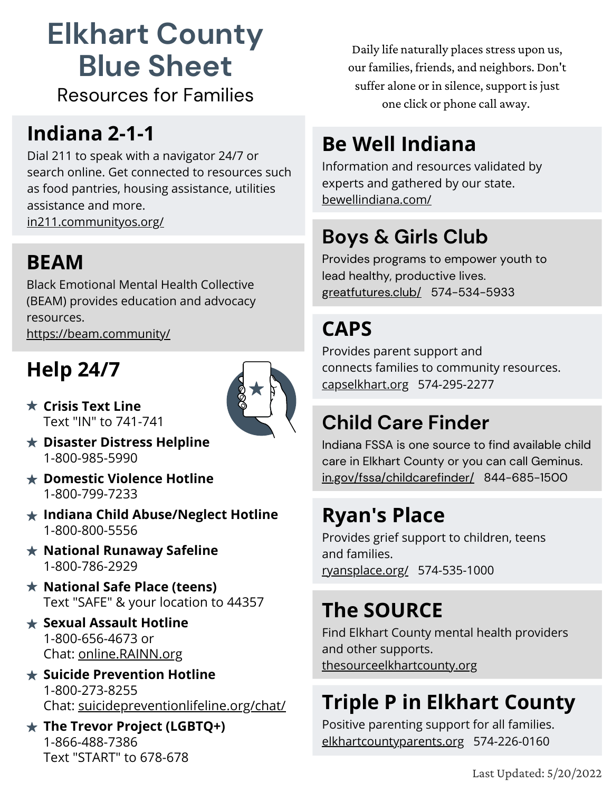# **Elkhart County Blue Sheet**

Resources for Families

#### **Indiana 2-1-1**

Dial 211 to speak with a navigator 24/7 or search online. Get connected to resources such as food pantries, housing assistance, utilities assistance and more. [in211.communityos.org/](https://in211.communityos.org/)

#### **BEAM**

Black Emotional Mental Health Collective (BEAM) provides education and advocacy resources.

<https://beam.community/>

# **Help 24/7**



- **Crisis Text Line** Text "IN" to 741-741
- **Disaster Distress Helpline** 1-800-985-5990
- **Domestic Violence Hotline** 1-800-799-7233
- **Indiana Child Abuse/Neglect Hotline** 1-800-800-5556
- **National Runaway Safeline** 1-800-786-2929
- **National Safe Place (teens)** Text "SAFE" & your location to 44357
- **Sexual Assault Hotline** 1-800-656-4673 or Chat: [online.RAINN.org](http://online.rainn.org/)
- **Suicide Prevention Hotline** 1-800-273-8255 Chat: [suicidepreventionlifeline.org/chat/](http://suicidepreventionlifeline.org/chat/)
- **The Trevor Project (LGBTQ+)** 1-866-488-7386 Text "START" to 678-678

Daily life naturally places stress upon us, our families, friends, and neighbors. Don't suffer alone or in silence, support is just one click or phone call away.

## **Be Well Indiana**

Information and resources validated by experts and gathered by our state. [bewellindiana.com/](https://bewellindiana.com/) 

#### **Boys & Girls Club**

Provides programs to empower youth to lead healthy, productive lives. [greatfutures.club/](http://greatfutures.club/) [574-534-5933](https://www.google.com/search?q=boys%20and%20girls%20club%20near%20me&rlz=1C1CHBF_enUS994US994&oq=boys+and+gi&aqs=chrome.4.35i39j46i199i291i433i512j69i57j35i39j0i457i512j0i402j0i512l2j46i433i512j0i512.6863j0j7&sourceid=chrome&ie=UTF-8&tbs=lf:1,lf_ui:4&tbm=lcl&sxsrf=ALiCzsZi3OPkir97fqQ6nQkktGrjWa1A3g:1652122175299&rflfq=1&num=10&rldimm=1394545969884581139&lqi=Chtib3lzIGFuZCBnaXJscyBjbHViIG5lYXIgbWUiBogBAZABAUjqq7OHmqqAgAhaLxAAEAEQAhADGAAYAhgDGAQYBSIbYm95cyBhbmQgZ2lybHMgY2x1YiBuZWFyIG1lkgESeW91dGhfb3JnYW5pemF0aW9uqgEbEAEqFyITYm95cyBhbmQgZ2lybHMgY2x1YigA&ved=2ahUKEwi1-4jbitP3AhVlIDQIHYn5BdAQvS56BAgGEAE&sa=X&rlst=f#)

#### **CAPS**

Provides parent support and connects families to community resources. [capselkhart.org](https://capselkhart.org/) 574-295-2277

#### **Child Care Finder**

Indiana FSSA is one source to find available child care in Elkhart County or you can call Geminus. [in.gov/fssa/childcarefinder/](https://www.in.gov/fssa/childcarefinder/) 844-685-1500

#### **Ryan's Place**

Provides grief support to children, teens and families. [ryansplace.org/](https://ryansplace.org/) 574-535-1000

#### **The SOURCE**

Find Elkhart County mental health providers and other supports. [thesourceelkhartcounty.org](https://thesourceelkhartcounty.org/)

## **Triple P in Elkhart County**

Positive parenting support for all families. [elkhartcountyparents.org](https://bit.ly/2Yw8Dbp) 574-226-0160